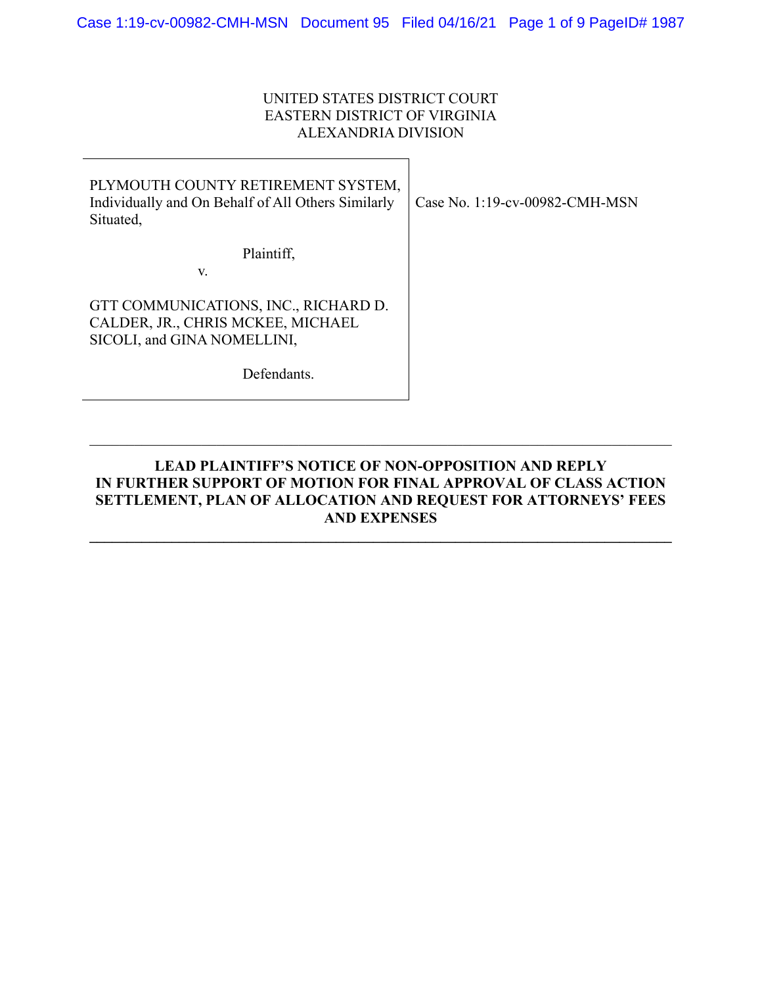# UNITED STATES DISTRICT COURT EASTERN DISTRICT OF VIRGINIA ALEXANDRIA DIVISION

| PLYMOUTH COUNTY RETIREMENT SYSTEM,<br>Individually and On Behalf of All Others Similarly<br>Situated, | Case No. 1:19-cv-00982-CMH-MSN |
|-------------------------------------------------------------------------------------------------------|--------------------------------|
| Plaintiff,                                                                                            |                                |
| V.                                                                                                    |                                |
| GTT COMMUNICATIONS, INC., RICHARD D.                                                                  |                                |
| CALDER, JR., CHRIS MCKEE, MICHAEL                                                                     |                                |
| SICOLI, and GINA NOMELLINI,                                                                           |                                |
| Defendants.                                                                                           |                                |

# **LEAD PLAINTIFF'S NOTICE OF NON-OPPOSITION AND REPLY IN FURTHER SUPPORT OF MOTION FOR FINAL APPROVAL OF CLASS ACTION SETTLEMENT, PLAN OF ALLOCATION AND REQUEST FOR ATTORNEYS' FEES AND EXPENSES**

**\_\_\_\_\_\_\_\_\_\_\_\_\_\_\_\_\_\_\_\_\_\_\_\_\_\_\_\_\_\_\_\_\_\_\_\_\_\_\_\_\_\_\_\_\_\_\_\_\_\_\_\_\_\_\_\_\_\_\_\_\_\_\_\_\_\_\_\_\_\_\_\_\_\_\_\_\_\_**

\_\_\_\_\_\_\_\_\_\_\_\_\_\_\_\_\_\_\_\_\_\_\_\_\_\_\_\_\_\_\_\_\_\_\_\_\_\_\_\_\_\_\_\_\_\_\_\_\_\_\_\_\_\_\_\_\_\_\_\_\_\_\_\_\_\_\_\_\_\_\_\_\_\_\_\_\_\_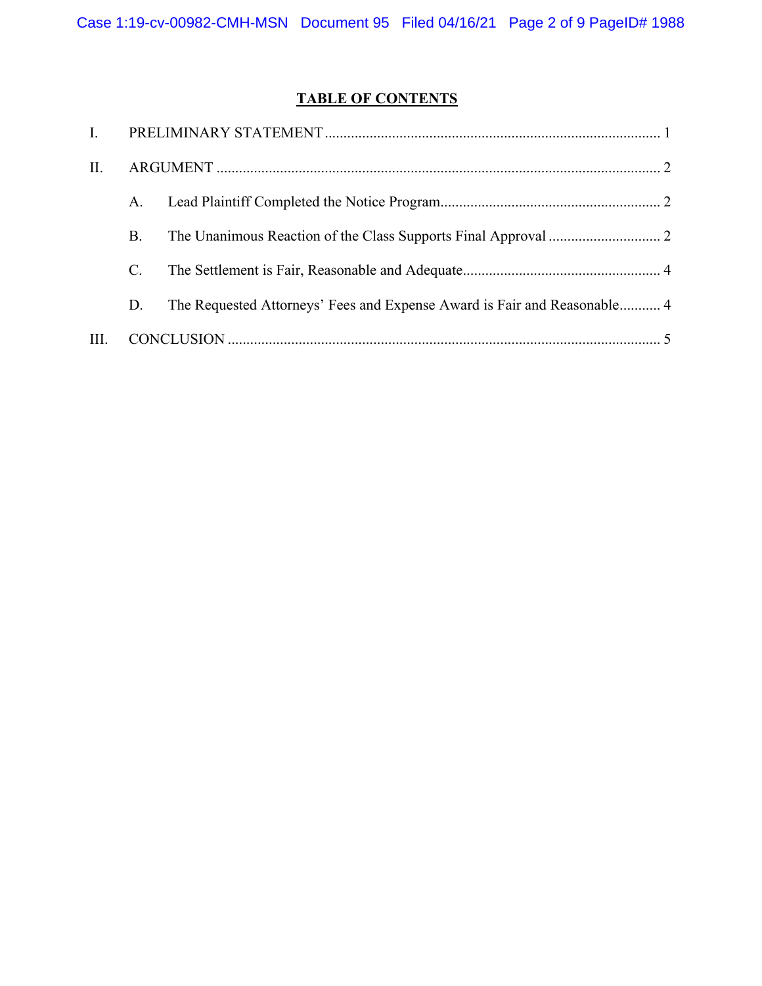# **TABLE OF CONTENTS**

| II.  |    |                                                                          |  |
|------|----|--------------------------------------------------------------------------|--|
|      | А. |                                                                          |  |
|      | В. |                                                                          |  |
|      | C. |                                                                          |  |
|      | D. | The Requested Attorneys' Fees and Expense Award is Fair and Reasonable 4 |  |
| III. |    |                                                                          |  |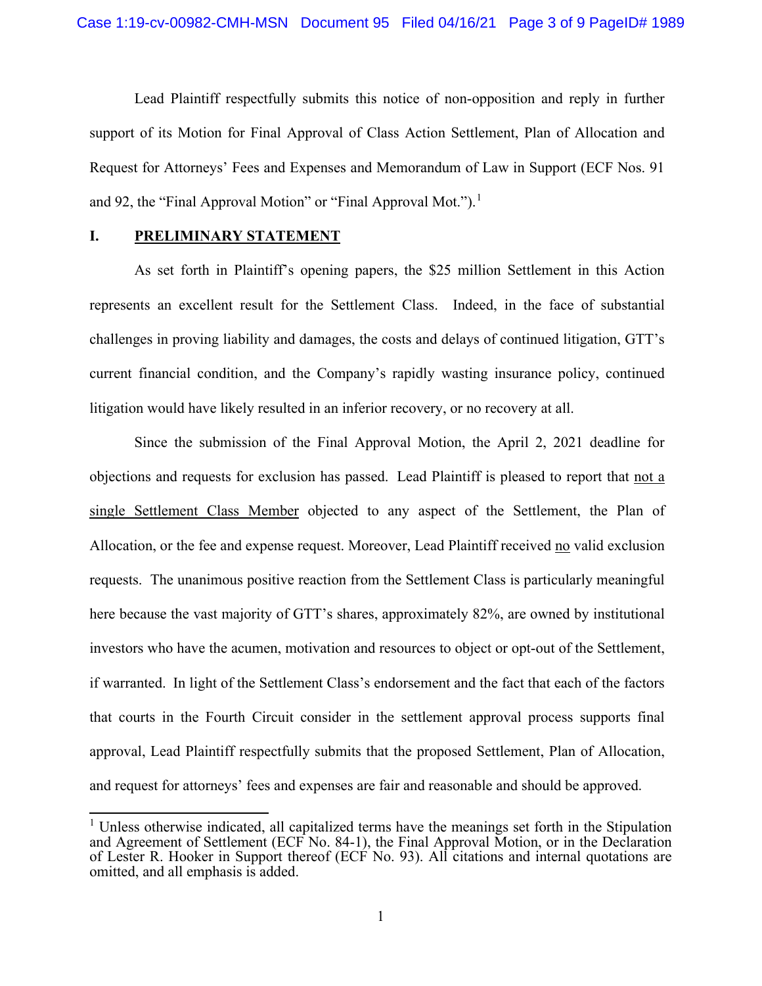Lead Plaintiff respectfully submits this notice of non-opposition and reply in further support of its Motion for Final Approval of Class Action Settlement, Plan of Allocation and Request for Attorneys' Fees and Expenses and Memorandum of Law in Support (ECF Nos. 91 and 92, the "Final Approval Motion" or "Final Approval Mot.").<sup>[1](#page-11-0)</sup>

### **I. PRELIMINARY STATEMENT**

As set forth in Plaintiff's opening papers, the \$25 million Settlement in this Action represents an excellent result for the Settlement Class. Indeed, in the face of substantial challenges in proving liability and damages, the costs and delays of continued litigation, GTT's current financial condition, and the Company's rapidly wasting insurance policy, continued litigation would have likely resulted in an inferior recovery, or no recovery at all.

Since the submission of the Final Approval Motion, the April 2, 2021 deadline for objections and requests for exclusion has passed. Lead Plaintiff is pleased to report that not a single Settlement Class Member objected to any aspect of the Settlement, the Plan of Allocation, or the fee and expense request. Moreover, Lead Plaintiff received no valid exclusion requests. The unanimous positive reaction from the Settlement Class is particularly meaningful here because the vast majority of GTT's shares, approximately 82%, are owned by institutional investors who have the acumen, motivation and resources to object or opt-out of the Settlement, if warranted. In light of the Settlement Class's endorsement and the fact that each of the factors that courts in the Fourth Circuit consider in the settlement approval process supports final approval, Lead Plaintiff respectfully submits that the proposed Settlement, Plan of Allocation, and request for attorneys' fees and expenses are fair and reasonable and should be approved.

<sup>&</sup>lt;sup>1</sup> Unless otherwise indicated, all capitalized terms have the meanings set forth in the Stipulation and Agreement of Settlement (ECF No. 84-1), the Final Approval Motion, or in the Declaration of Lester R. Hooker in Support thereof (ECF No. 93). All citations and internal quotations are omitted, and all emphasis is added.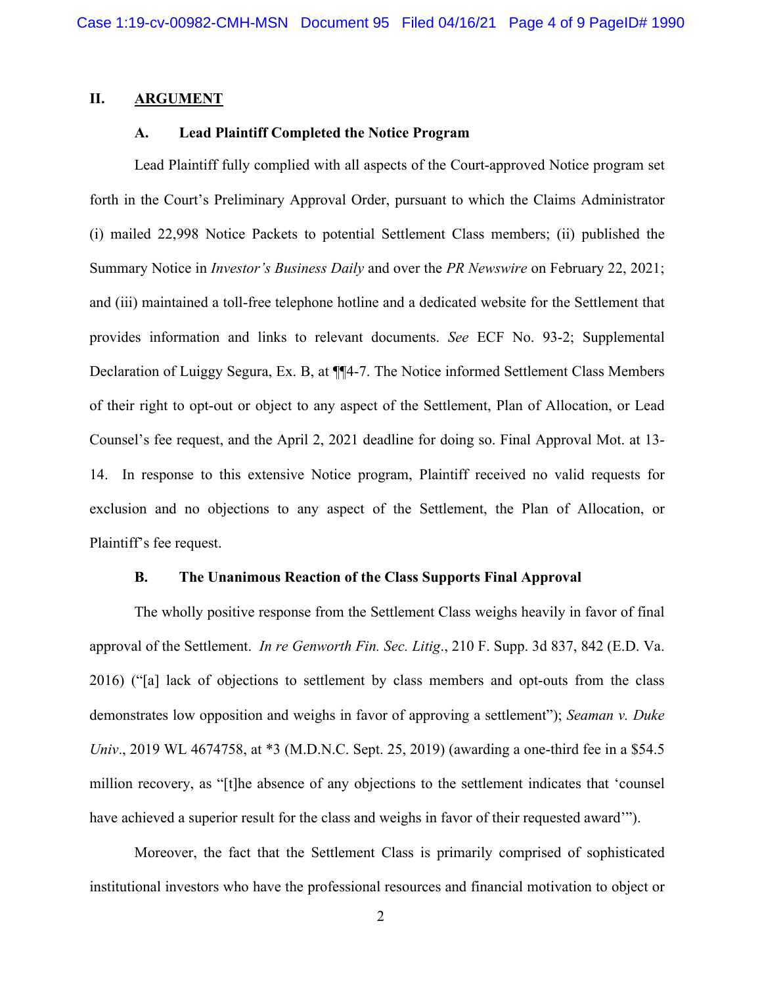### **II. ARGUMENT**

# **A. Lead Plaintiff Completed the Notice Program**

Lead Plaintiff fully complied with all aspects of the Court-approved Notice program set forth in the Court's Preliminary Approval Order, pursuant to which the Claims Administrator (i) mailed 22,998 Notice Packets to potential Settlement Class members; (ii) published the Summary Notice in *Investor's Business Daily* and over the *PR Newswire* on February 22, 2021; and (iii) maintained a toll-free telephone hotline and a dedicated website for the Settlement that provides information and links to relevant documents. *See* ECF No. 93-2; Supplemental Declaration of Luiggy Segura, Ex. B, at ¶¶4-7. The Notice informed Settlement Class Members of their right to opt-out or object to any aspect of the Settlement, Plan of Allocation, or Lead Counsel's fee request, and the April 2, 2021 deadline for doing so. Final Approval Mot. at 13- 14. In response to this extensive Notice program, Plaintiff received no valid requests for exclusion and no objections to any aspect of the Settlement, the Plan of Allocation, or Plaintiff's fee request.

# **B. The Unanimous Reaction of the Class Supports Final Approval**

The wholly positive response from the Settlement Class weighs heavily in favor of final approval of the Settlement. *In re Genworth Fin. Sec. Litig*., 210 F. Supp. 3d 837, 842 (E.D. Va. 2016) ("[a] lack of objections to settlement by class members and opt-outs from the class demonstrates low opposition and weighs in favor of approving a settlement"); *Seaman v. Duke Univ.*, 2019 WL 4674758, at \*3 (M.D.N.C. Sept. 25, 2019) (awarding a one-third fee in a \$54.5 million recovery, as "[t]he absence of any objections to the settlement indicates that 'counsel have achieved a superior result for the class and weighs in favor of their requested award'").

Moreover, the fact that the Settlement Class is primarily comprised of sophisticated institutional investors who have the professional resources and financial motivation to object or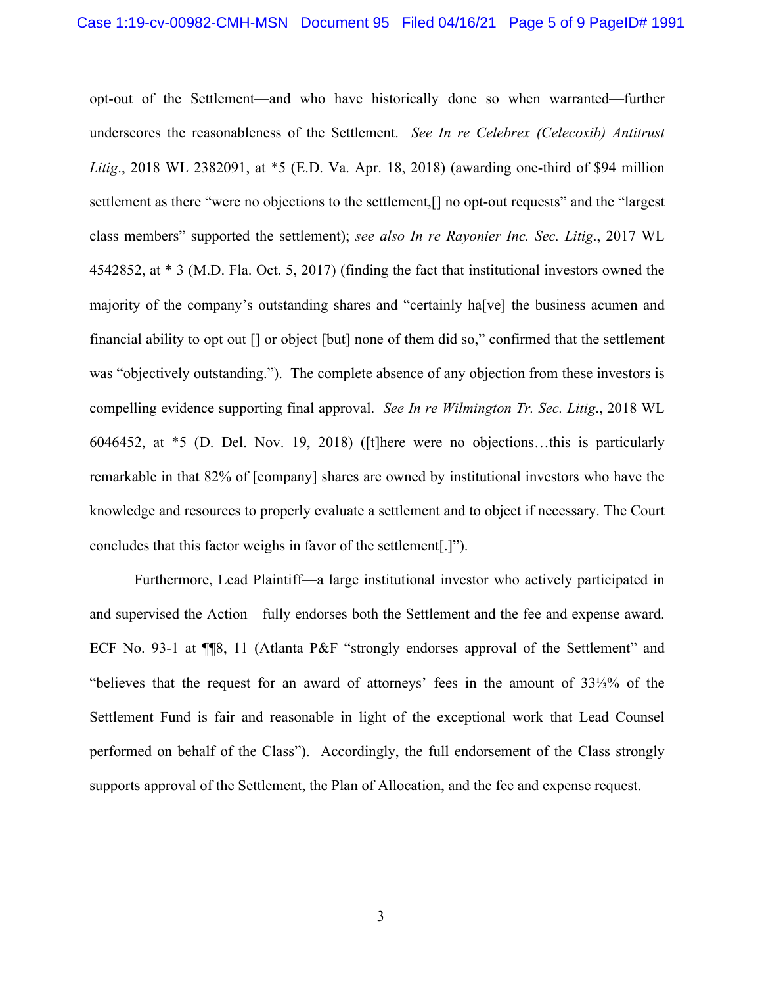opt-out of the Settlement—and who have historically done so when warranted—further underscores the reasonableness of the Settlement. *See In re Celebrex (Celecoxib) Antitrust Litig*., 2018 WL 2382091, at \*5 (E.D. Va. Apr. 18, 2018) (awarding one-third of \$94 million settlement as there "were no objections to the settlement,[] no opt-out requests" and the "largest class members" supported the settlement); *see also In re Rayonier Inc. Sec. Litig*., 2017 WL 4542852, at \* 3 (M.D. Fla. Oct. 5, 2017) (finding the fact that institutional investors owned the majority of the company's outstanding shares and "certainly ha[ve] the business acumen and financial ability to opt out [] or object [but] none of them did so," confirmed that the settlement was "objectively outstanding."). The complete absence of any objection from these investors is compelling evidence supporting final approval. *See In re Wilmington Tr. Sec. Litig*., 2018 WL 6046452, at \*5 (D. Del. Nov. 19, 2018) ([t]here were no objections…this is particularly remarkable in that 82% of [company] shares are owned by institutional investors who have the knowledge and resources to properly evaluate a settlement and to object if necessary. The Court concludes that this factor weighs in favor of the settlement[.]").

Furthermore, Lead Plaintiff—a large institutional investor who actively participated in and supervised the Action—fully endorses both the Settlement and the fee and expense award. ECF No. 93-1 at ¶¶8, 11 (Atlanta P&F "strongly endorses approval of the Settlement" and "believes that the request for an award of attorneys' fees in the amount of 33⅓% of the Settlement Fund is fair and reasonable in light of the exceptional work that Lead Counsel performed on behalf of the Class"). Accordingly, the full endorsement of the Class strongly supports approval of the Settlement, the Plan of Allocation, and the fee and expense request.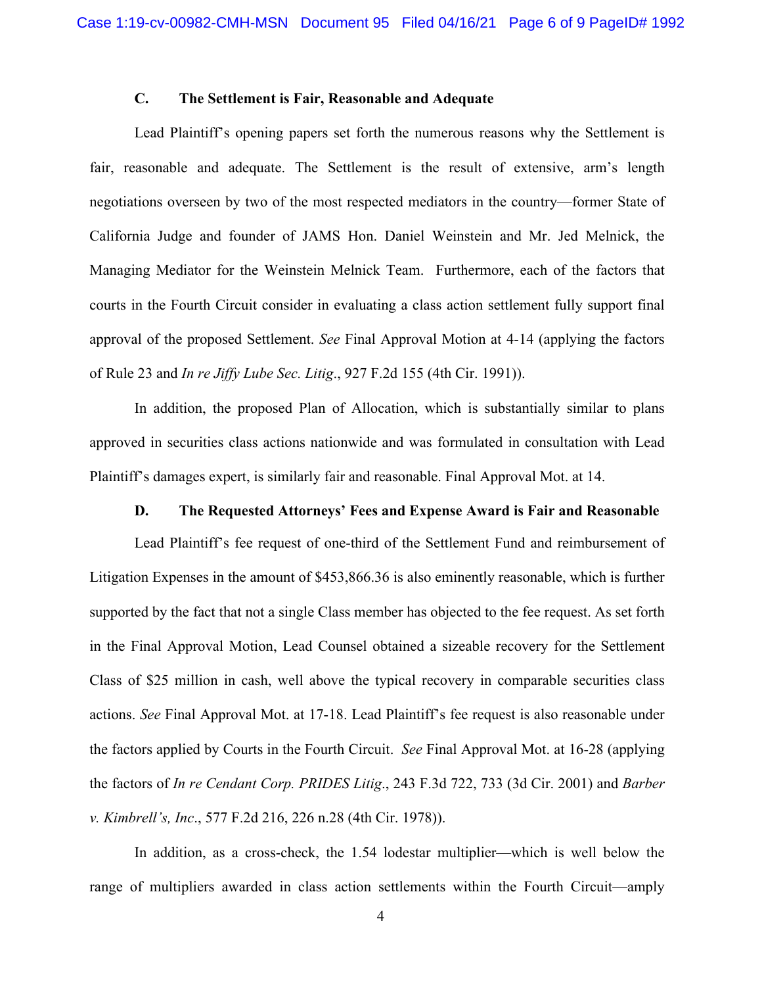# **C. The Settlement is Fair, Reasonable and Adequate**

Lead Plaintiff's opening papers set forth the numerous reasons why the Settlement is fair, reasonable and adequate. The Settlement is the result of extensive, arm's length negotiations overseen by two of the most respected mediators in the country—former State of California Judge and founder of JAMS Hon. Daniel Weinstein and Mr. Jed Melnick, the Managing Mediator for the Weinstein Melnick Team. Furthermore, each of the factors that courts in the Fourth Circuit consider in evaluating a class action settlement fully support final approval of the proposed Settlement. *See* Final Approval Motion at 4-14 (applying the factors of Rule 23 and *In re Jiffy Lube Sec. Litig*., 927 F.2d 155 (4th Cir. 1991)).

In addition, the proposed Plan of Allocation, which is substantially similar to plans approved in securities class actions nationwide and was formulated in consultation with Lead Plaintiff's damages expert, is similarly fair and reasonable. Final Approval Mot. at 14.

# **D. The Requested Attorneys' Fees and Expense Award is Fair and Reasonable**

Lead Plaintiff's fee request of one-third of the Settlement Fund and reimbursement of Litigation Expenses in the amount of \$453,866.36 is also eminently reasonable, which is further supported by the fact that not a single Class member has objected to the fee request. As set forth in the Final Approval Motion, Lead Counsel obtained a sizeable recovery for the Settlement Class of \$25 million in cash, well above the typical recovery in comparable securities class actions. *See* Final Approval Mot. at 17-18. Lead Plaintiff's fee request is also reasonable under the factors applied by Courts in the Fourth Circuit. *See* Final Approval Mot. at 16-28 (applying the factors of *In re Cendant Corp. PRIDES Litig*., 243 F.3d 722, 733 (3d Cir. 2001) and *Barber v. Kimbrell's, Inc*., 577 F.2d 216, 226 n.28 (4th Cir. 1978)).

In addition, as a cross-check, the 1.54 lodestar multiplier—which is well below the range of multipliers awarded in class action settlements within the Fourth Circuit—amply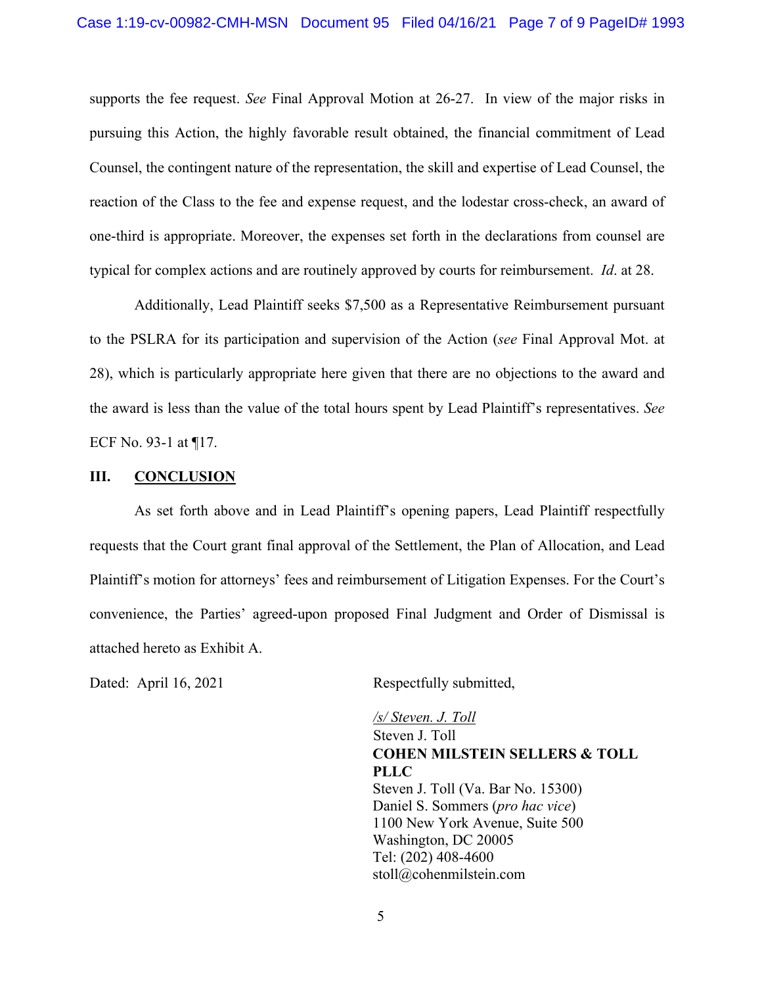supports the fee request. *See* Final Approval Motion at 26-27. In view of the major risks in pursuing this Action, the highly favorable result obtained, the financial commitment of Lead Counsel, the contingent nature of the representation, the skill and expertise of Lead Counsel, the reaction of the Class to the fee and expense request, and the lodestar cross-check, an award of one-third is appropriate. Moreover, the expenses set forth in the declarations from counsel are typical for complex actions and are routinely approved by courts for reimbursement. *Id*. at 28.

Additionally, Lead Plaintiff seeks \$7,500 as a Representative Reimbursement pursuant to the PSLRA for its participation and supervision of the Action (*see* Final Approval Mot. at 28), which is particularly appropriate here given that there are no objections to the award and the award is less than the value of the total hours spent by Lead Plaintiff's representatives. *See*  ECF No. 93-1 at ¶17.

#### **III. CONCLUSION**

As set forth above and in Lead Plaintiff's opening papers, Lead Plaintiff respectfully requests that the Court grant final approval of the Settlement, the Plan of Allocation, and Lead Plaintiff's motion for attorneys' fees and reimbursement of Litigation Expenses. For the Court's convenience, the Parties' agreed-upon proposed Final Judgment and Order of Dismissal is attached hereto as Exhibit A.

Dated: April 16, 2021 Respectfully submitted,

 */s/ Steven. J. Toll* Steven J. Toll **COHEN MILSTEIN SELLERS & TOLL PLLC**  Steven J. Toll (Va. Bar No. 15300) Daniel S. Sommers (*pro hac vice*) 1100 New York Avenue, Suite 500 Washington, DC 20005 Tel: (202) 408-4600 stoll@cohenmilstein.com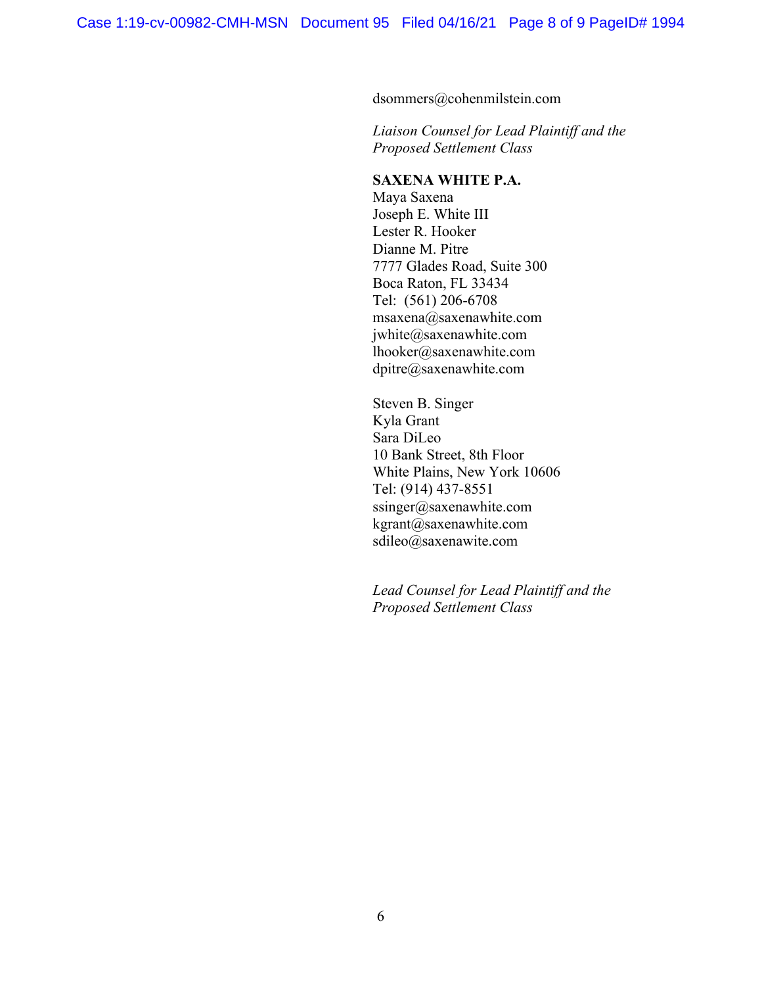dsommers@cohenmilstein.com

*Liaison Counsel for Lead Plaintiff and the Proposed Settlement Class*

# **SAXENA WHITE P.A.**

Maya Saxena Joseph E. White III Lester R. Hooker Dianne M. Pitre 7777 Glades Road, Suite 300 Boca Raton, FL 33434 Tel: (561) 206-6708 msaxena@saxenawhite.com jwhite@saxenawhite.com lhooker@saxenawhite.com dpitre@saxenawhite.com

Steven B. Singer Kyla Grant Sara DiLeo 10 Bank Street, 8th Floor White Plains, New York 10606 Tel: (914) 437-8551 ssinger@saxenawhite.com [kgrant@saxenawhite.com](mailto:kgrant@saxenawhite.com) sdileo@saxenawite.com

*Lead Counsel for Lead Plaintiff and the Proposed Settlement Class*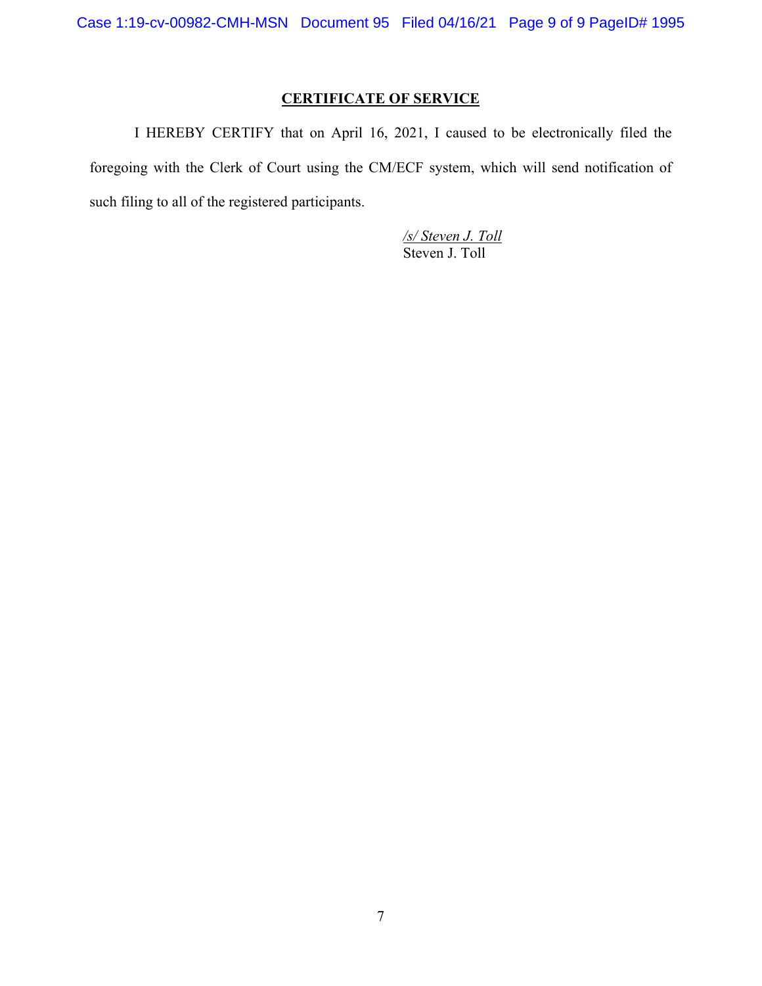# **CERTIFICATE OF SERVICE**

I HEREBY CERTIFY that on April 16, 2021, I caused to be electronically filed the foregoing with the Clerk of Court using the CM/ECF system, which will send notification of such filing to all of the registered participants.

> */s/ Steven J. Toll* Steven J. Toll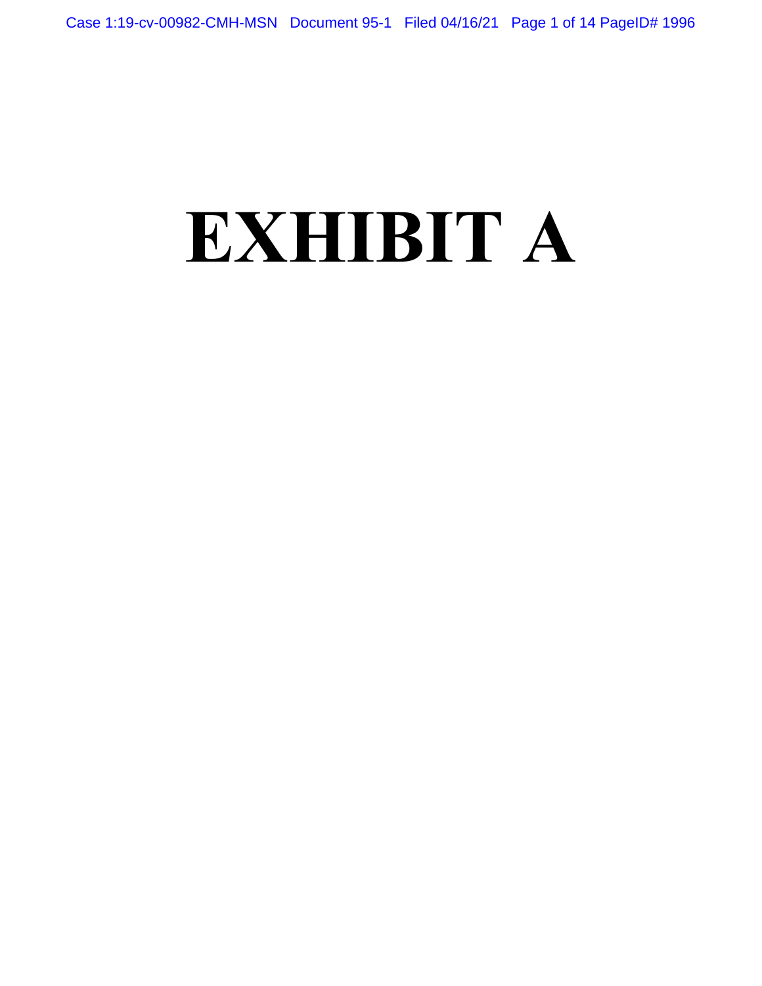# **EXHIBIT A**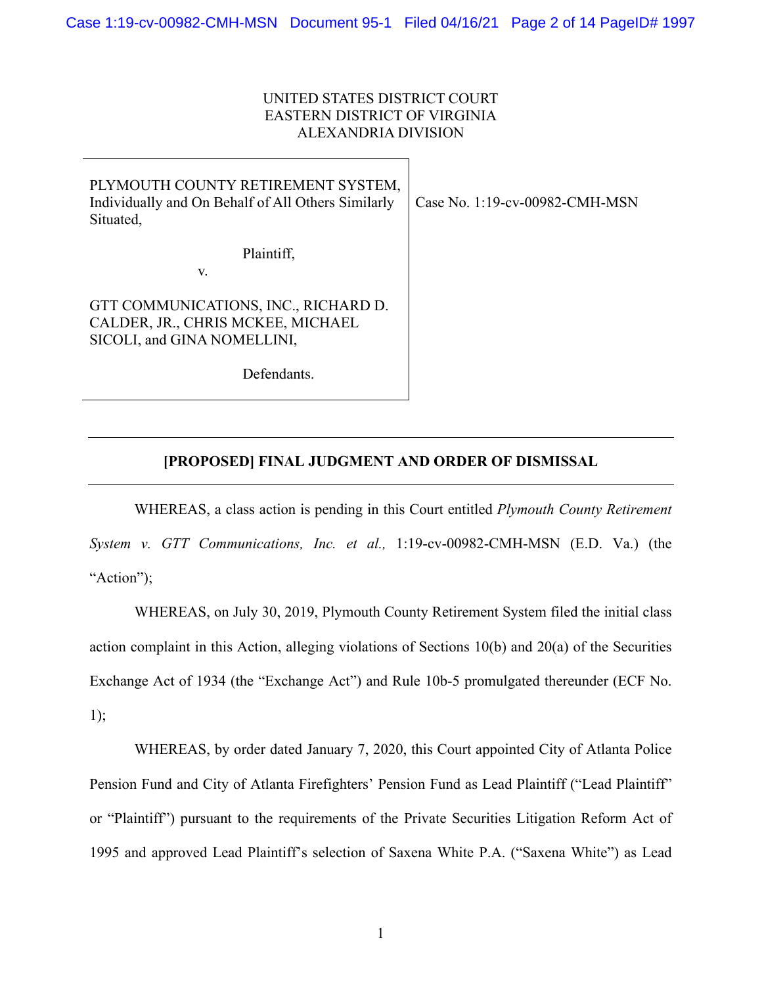# UNITED STATES DISTRICT COURT EASTERN DISTRICT OF VIRGINIA ALEXANDRIA DIVISION

| PLYMOUTH COUNTY RETIREMENT SYSTEM,<br>Individually and On Behalf of All Others Similarly<br>Situated,    | Case No. 1:19-cv-00982-CMH-MSN |
|----------------------------------------------------------------------------------------------------------|--------------------------------|
| Plaintiff,<br>V.                                                                                         |                                |
| GTT COMMUNICATIONS, INC., RICHARD D.<br>CALDER, JR., CHRIS MCKEE, MICHAEL<br>SICOLI, and GINA NOMELLINI, |                                |
| Defendants.                                                                                              |                                |

# **[PROPOSED] FINAL JUDGMENT AND ORDER OF DISMISSAL**

WHEREAS, a class action is pending in this Court entitled *Plymouth County Retirement System v. GTT Communications, Inc. et al.,* 1:19-cv-00982-CMH-MSN (E.D. Va.) (the "Action");

WHEREAS, on July 30, 2019, Plymouth County Retirement System filed the initial class action complaint in this Action, alleging violations of Sections 10(b) and 20(a) of the Securities Exchange Act of 1934 (the "Exchange Act") and Rule 10b-5 promulgated thereunder (ECF No. 1);

WHEREAS, by order dated January 7, 2020, this Court appointed City of Atlanta Police Pension Fund and City of Atlanta Firefighters' Pension Fund as Lead Plaintiff ("Lead Plaintiff" or "Plaintiff") pursuant to the requirements of the Private Securities Litigation Reform Act of 1995 and approved Lead Plaintiff's selection of Saxena White P.A. ("Saxena White") as Lead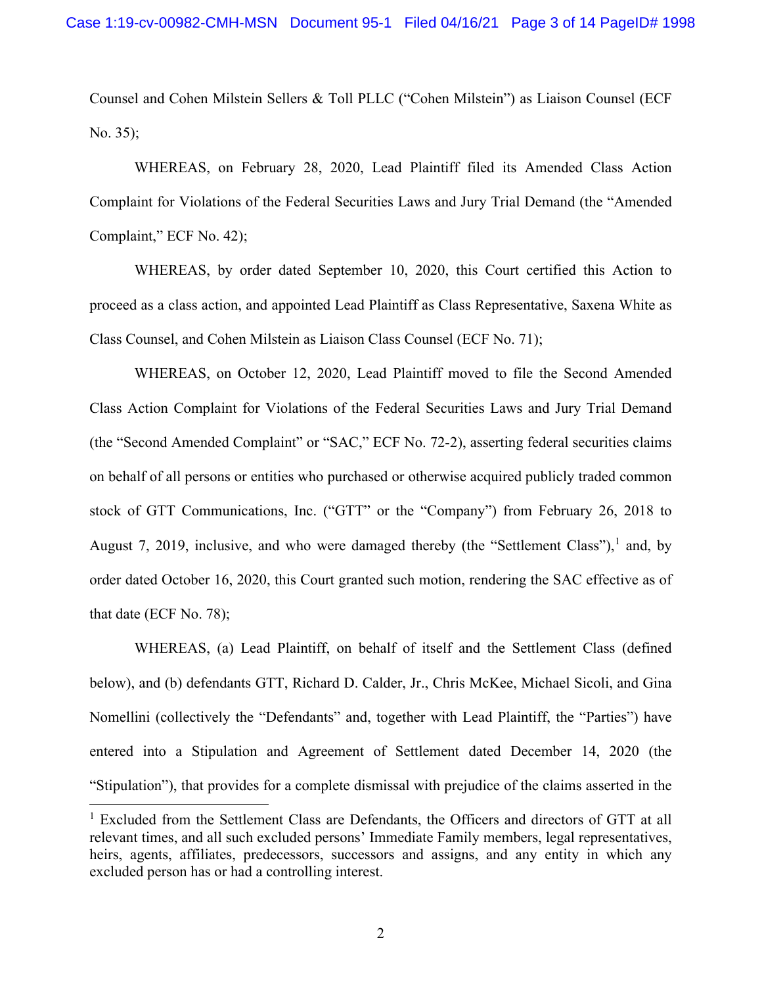Counsel and Cohen Milstein Sellers & Toll PLLC ("Cohen Milstein") as Liaison Counsel (ECF No. 35);

WHEREAS, on February 28, 2020, Lead Plaintiff filed its Amended Class Action Complaint for Violations of the Federal Securities Laws and Jury Trial Demand (the "Amended Complaint," ECF No. 42);

WHEREAS, by order dated September 10, 2020, this Court certified this Action to proceed as a class action, and appointed Lead Plaintiff as Class Representative, Saxena White as Class Counsel, and Cohen Milstein as Liaison Class Counsel (ECF No. 71);

WHEREAS, on October 12, 2020, Lead Plaintiff moved to file the Second Amended Class Action Complaint for Violations of the Federal Securities Laws and Jury Trial Demand (the "Second Amended Complaint" or "SAC," ECF No. 72-2), asserting federal securities claims on behalf of all persons or entities who purchased or otherwise acquired publicly traded common stock of GTT Communications, Inc. ("GTT" or the "Company") from February 26, 2018 to August 7, 20[1](#page-11-0)9, inclusive, and who were damaged thereby (the "Settlement Class"), and, by order dated October 16, 2020, this Court granted such motion, rendering the SAC effective as of that date (ECF No. 78);

WHEREAS, (a) Lead Plaintiff, on behalf of itself and the Settlement Class (defined below), and (b) defendants GTT, Richard D. Calder, Jr., Chris McKee, Michael Sicoli, and Gina Nomellini (collectively the "Defendants" and, together with Lead Plaintiff, the "Parties") have entered into a Stipulation and Agreement of Settlement dated December 14, 2020 (the "Stipulation"), that provides for a complete dismissal with prejudice of the claims asserted in the

<span id="page-11-0"></span><sup>&</sup>lt;sup>1</sup> Excluded from the Settlement Class are Defendants, the Officers and directors of GTT at all relevant times, and all such excluded persons' Immediate Family members, legal representatives, heirs, agents, affiliates, predecessors, successors and assigns, and any entity in which any excluded person has or had a controlling interest.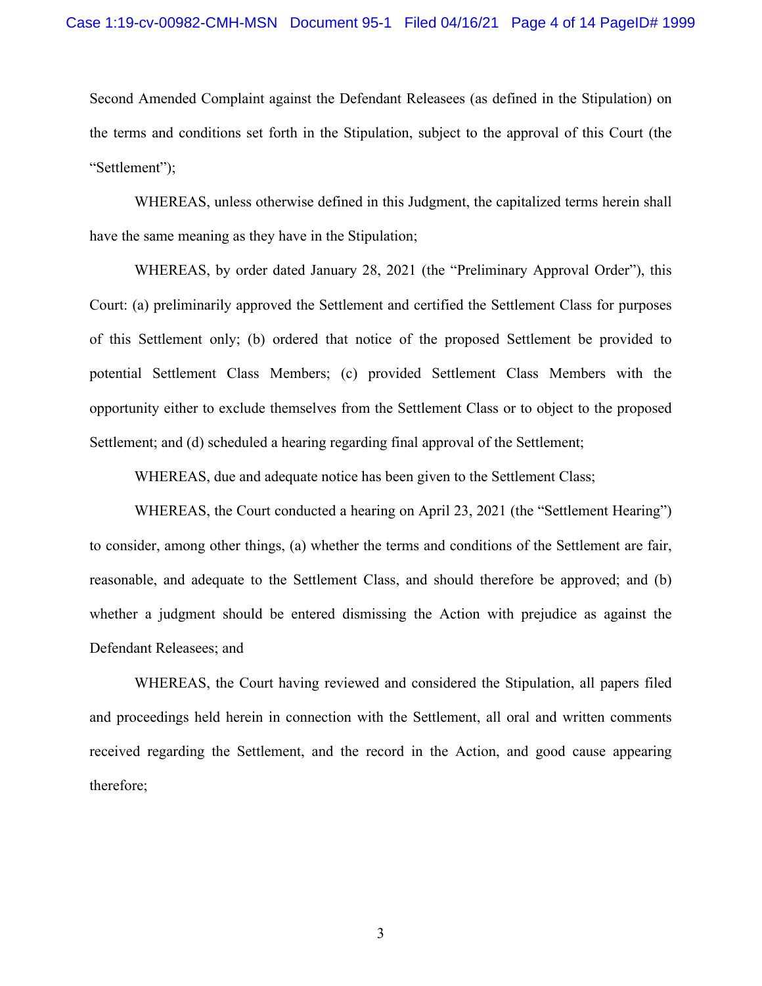Second Amended Complaint against the Defendant Releasees (as defined in the Stipulation) on the terms and conditions set forth in the Stipulation, subject to the approval of this Court (the "Settlement");

WHEREAS, unless otherwise defined in this Judgment, the capitalized terms herein shall have the same meaning as they have in the Stipulation;

WHEREAS, by order dated January 28, 2021 (the "Preliminary Approval Order"), this Court: (a) preliminarily approved the Settlement and certified the Settlement Class for purposes of this Settlement only; (b) ordered that notice of the proposed Settlement be provided to potential Settlement Class Members; (c) provided Settlement Class Members with the opportunity either to exclude themselves from the Settlement Class or to object to the proposed Settlement; and (d) scheduled a hearing regarding final approval of the Settlement;

WHEREAS, due and adequate notice has been given to the Settlement Class;

WHEREAS, the Court conducted a hearing on April 23, 2021 (the "Settlement Hearing") to consider, among other things, (a) whether the terms and conditions of the Settlement are fair, reasonable, and adequate to the Settlement Class, and should therefore be approved; and (b) whether a judgment should be entered dismissing the Action with prejudice as against the Defendant Releasees; and

WHEREAS, the Court having reviewed and considered the Stipulation, all papers filed and proceedings held herein in connection with the Settlement, all oral and written comments received regarding the Settlement, and the record in the Action, and good cause appearing therefore;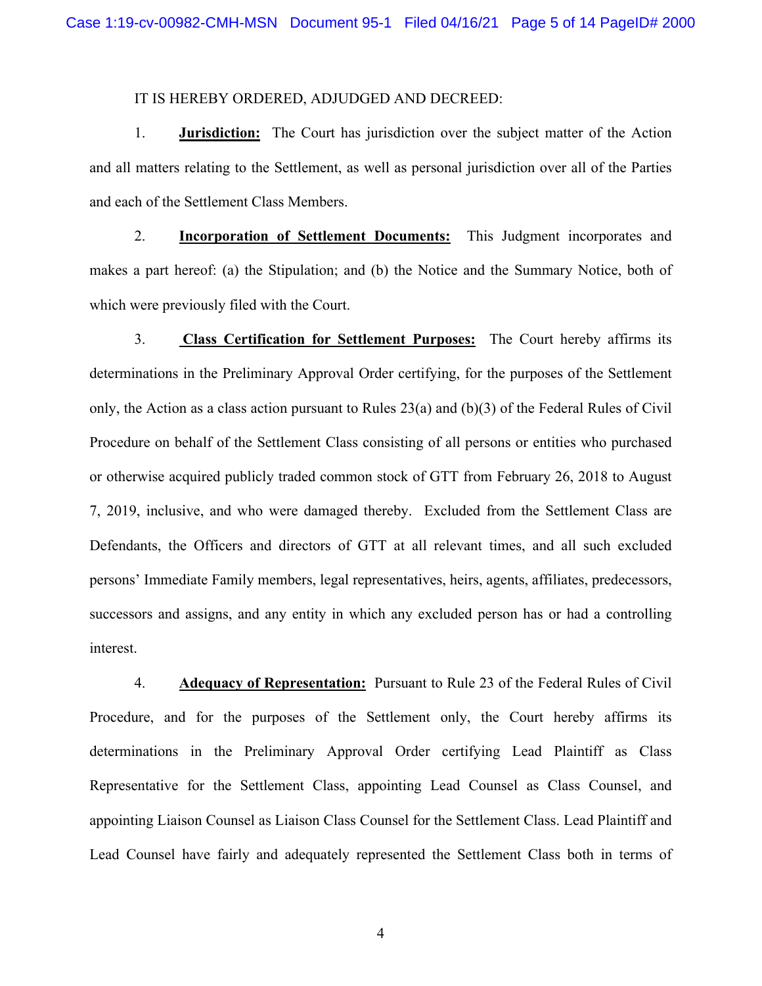#### IT IS HEREBY ORDERED, ADJUDGED AND DECREED:

1. **Jurisdiction:** The Court has jurisdiction over the subject matter of the Action and all matters relating to the Settlement, as well as personal jurisdiction over all of the Parties and each of the Settlement Class Members.

2. **Incorporation of Settlement Documents:** This Judgment incorporates and makes a part hereof: (a) the Stipulation; and (b) the Notice and the Summary Notice, both of which were previously filed with the Court.

3. **Class Certification for Settlement Purposes:** The Court hereby affirms its determinations in the Preliminary Approval Order certifying, for the purposes of the Settlement only, the Action as a class action pursuant to Rules 23(a) and (b)(3) of the Federal Rules of Civil Procedure on behalf of the Settlement Class consisting of all persons or entities who purchased or otherwise acquired publicly traded common stock of GTT from February 26, 2018 to August 7, 2019, inclusive, and who were damaged thereby. Excluded from the Settlement Class are Defendants, the Officers and directors of GTT at all relevant times, and all such excluded persons' Immediate Family members, legal representatives, heirs, agents, affiliates, predecessors, successors and assigns, and any entity in which any excluded person has or had a controlling interest.

4. **Adequacy of Representation:** Pursuant to Rule 23 of the Federal Rules of Civil Procedure, and for the purposes of the Settlement only, the Court hereby affirms its determinations in the Preliminary Approval Order certifying Lead Plaintiff as Class Representative for the Settlement Class, appointing Lead Counsel as Class Counsel, and appointing Liaison Counsel as Liaison Class Counsel for the Settlement Class. Lead Plaintiff and Lead Counsel have fairly and adequately represented the Settlement Class both in terms of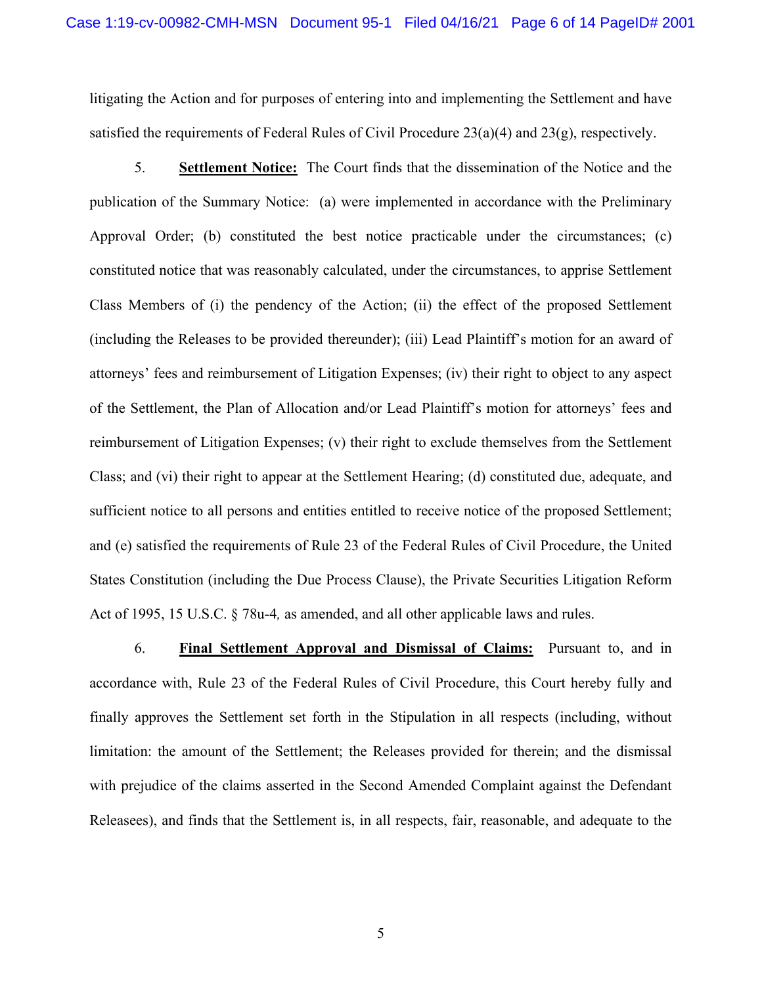litigating the Action and for purposes of entering into and implementing the Settlement and have satisfied the requirements of Federal Rules of Civil Procedure 23(a)(4) and 23(g), respectively.

5. **Settlement Notice:** The Court finds that the dissemination of the Notice and the publication of the Summary Notice: (a) were implemented in accordance with the Preliminary Approval Order; (b) constituted the best notice practicable under the circumstances; (c) constituted notice that was reasonably calculated, under the circumstances, to apprise Settlement Class Members of (i) the pendency of the Action; (ii) the effect of the proposed Settlement (including the Releases to be provided thereunder); (iii) Lead Plaintiff's motion for an award of attorneys' fees and reimbursement of Litigation Expenses; (iv) their right to object to any aspect of the Settlement, the Plan of Allocation and/or Lead Plaintiff's motion for attorneys' fees and reimbursement of Litigation Expenses; (v) their right to exclude themselves from the Settlement Class; and (vi) their right to appear at the Settlement Hearing; (d) constituted due, adequate, and sufficient notice to all persons and entities entitled to receive notice of the proposed Settlement; and (e) satisfied the requirements of Rule 23 of the Federal Rules of Civil Procedure, the United States Constitution (including the Due Process Clause), the Private Securities Litigation Reform Act of 1995, 15 U.S.C. § 78u-4*,* as amended, and all other applicable laws and rules.

6. **Final Settlement Approval and Dismissal of Claims:** Pursuant to, and in accordance with, Rule 23 of the Federal Rules of Civil Procedure, this Court hereby fully and finally approves the Settlement set forth in the Stipulation in all respects (including, without limitation: the amount of the Settlement; the Releases provided for therein; and the dismissal with prejudice of the claims asserted in the Second Amended Complaint against the Defendant Releasees), and finds that the Settlement is, in all respects, fair, reasonable, and adequate to the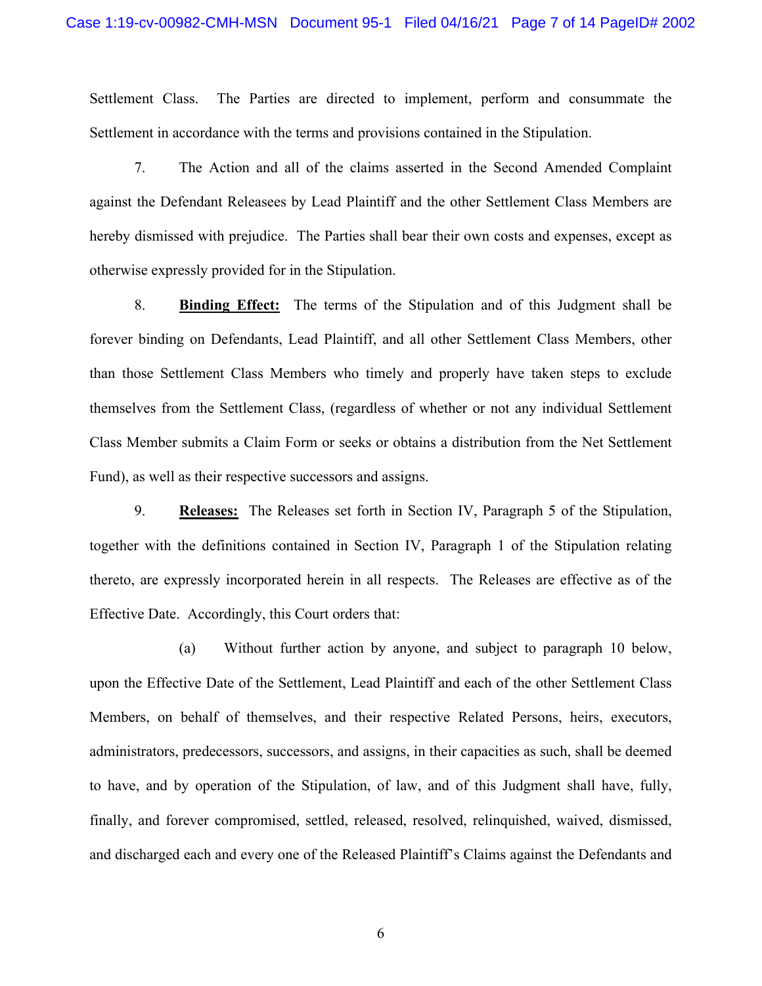Settlement Class. The Parties are directed to implement, perform and consummate the Settlement in accordance with the terms and provisions contained in the Stipulation.

7. The Action and all of the claims asserted in the Second Amended Complaint against the Defendant Releasees by Lead Plaintiff and the other Settlement Class Members are hereby dismissed with prejudice. The Parties shall bear their own costs and expenses, except as otherwise expressly provided for in the Stipulation.

8. **Binding Effect:** The terms of the Stipulation and of this Judgment shall be forever binding on Defendants, Lead Plaintiff, and all other Settlement Class Members, other than those Settlement Class Members who timely and properly have taken steps to exclude themselves from the Settlement Class, (regardless of whether or not any individual Settlement Class Member submits a Claim Form or seeks or obtains a distribution from the Net Settlement Fund), as well as their respective successors and assigns.

9. **Releases:** The Releases set forth in Section IV, Paragraph 5 of the Stipulation, together with the definitions contained in Section IV, Paragraph 1 of the Stipulation relating thereto, are expressly incorporated herein in all respects. The Releases are effective as of the Effective Date. Accordingly, this Court orders that:

(a) Without further action by anyone, and subject to paragraph 10 below, upon the Effective Date of the Settlement, Lead Plaintiff and each of the other Settlement Class Members, on behalf of themselves, and their respective Related Persons, heirs, executors, administrators, predecessors, successors, and assigns, in their capacities as such, shall be deemed to have, and by operation of the Stipulation, of law, and of this Judgment shall have, fully, finally, and forever compromised, settled, released, resolved, relinquished, waived, dismissed, and discharged each and every one of the Released Plaintiff's Claims against the Defendants and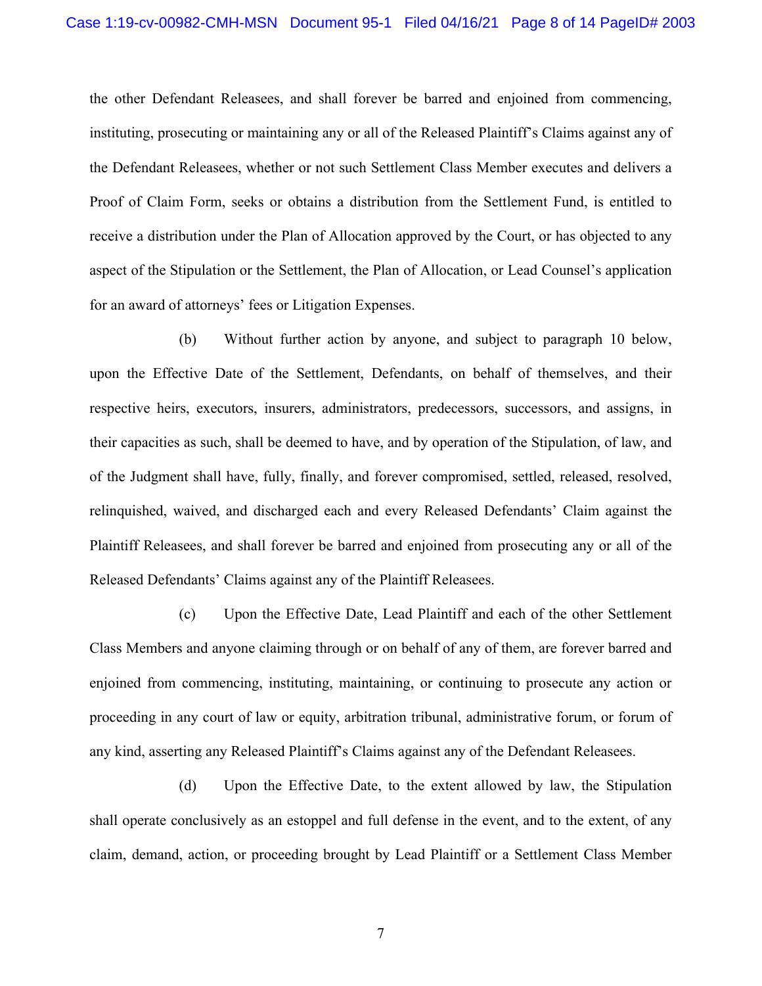the other Defendant Releasees, and shall forever be barred and enjoined from commencing, instituting, prosecuting or maintaining any or all of the Released Plaintiff's Claims against any of the Defendant Releasees, whether or not such Settlement Class Member executes and delivers a Proof of Claim Form, seeks or obtains a distribution from the Settlement Fund, is entitled to receive a distribution under the Plan of Allocation approved by the Court, or has objected to any aspect of the Stipulation or the Settlement, the Plan of Allocation, or Lead Counsel's application for an award of attorneys' fees or Litigation Expenses.

(b) Without further action by anyone, and subject to paragraph 10 below, upon the Effective Date of the Settlement, Defendants, on behalf of themselves, and their respective heirs, executors, insurers, administrators, predecessors, successors, and assigns, in their capacities as such, shall be deemed to have, and by operation of the Stipulation, of law, and of the Judgment shall have, fully, finally, and forever compromised, settled, released, resolved, relinquished, waived, and discharged each and every Released Defendants' Claim against the Plaintiff Releasees, and shall forever be barred and enjoined from prosecuting any or all of the Released Defendants' Claims against any of the Plaintiff Releasees.

(c) Upon the Effective Date, Lead Plaintiff and each of the other Settlement Class Members and anyone claiming through or on behalf of any of them, are forever barred and enjoined from commencing, instituting, maintaining, or continuing to prosecute any action or proceeding in any court of law or equity, arbitration tribunal, administrative forum, or forum of any kind, asserting any Released Plaintiff's Claims against any of the Defendant Releasees.

(d) Upon the Effective Date, to the extent allowed by law, the Stipulation shall operate conclusively as an estoppel and full defense in the event, and to the extent, of any claim, demand, action, or proceeding brought by Lead Plaintiff or a Settlement Class Member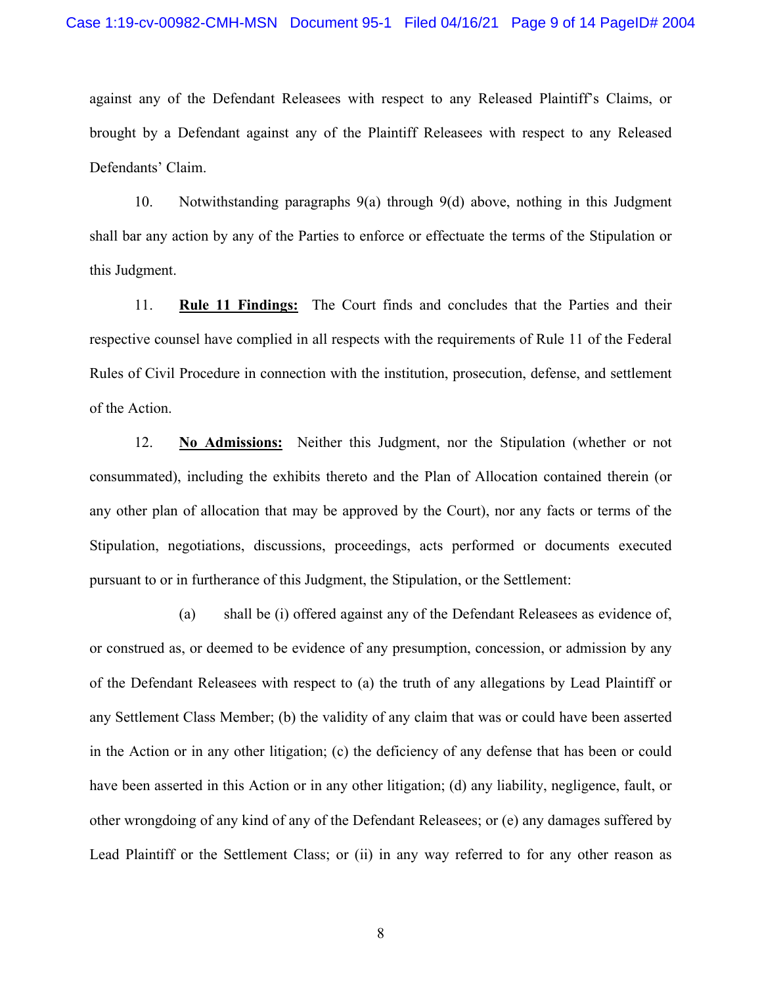against any of the Defendant Releasees with respect to any Released Plaintiff's Claims, or brought by a Defendant against any of the Plaintiff Releasees with respect to any Released Defendants' Claim.

10. Notwithstanding paragraphs 9(a) through 9(d) above, nothing in this Judgment shall bar any action by any of the Parties to enforce or effectuate the terms of the Stipulation or this Judgment.

11. **Rule 11 Findings:** The Court finds and concludes that the Parties and their respective counsel have complied in all respects with the requirements of Rule 11 of the Federal Rules of Civil Procedure in connection with the institution, prosecution, defense, and settlement of the Action.

12. **No Admissions:** Neither this Judgment, nor the Stipulation (whether or not consummated), including the exhibits thereto and the Plan of Allocation contained therein (or any other plan of allocation that may be approved by the Court), nor any facts or terms of the Stipulation, negotiations, discussions, proceedings, acts performed or documents executed pursuant to or in furtherance of this Judgment, the Stipulation, or the Settlement:

(a) shall be (i) offered against any of the Defendant Releasees as evidence of, or construed as, or deemed to be evidence of any presumption, concession, or admission by any of the Defendant Releasees with respect to (a) the truth of any allegations by Lead Plaintiff or any Settlement Class Member; (b) the validity of any claim that was or could have been asserted in the Action or in any other litigation; (c) the deficiency of any defense that has been or could have been asserted in this Action or in any other litigation; (d) any liability, negligence, fault, or other wrongdoing of any kind of any of the Defendant Releasees; or (e) any damages suffered by Lead Plaintiff or the Settlement Class; or (ii) in any way referred to for any other reason as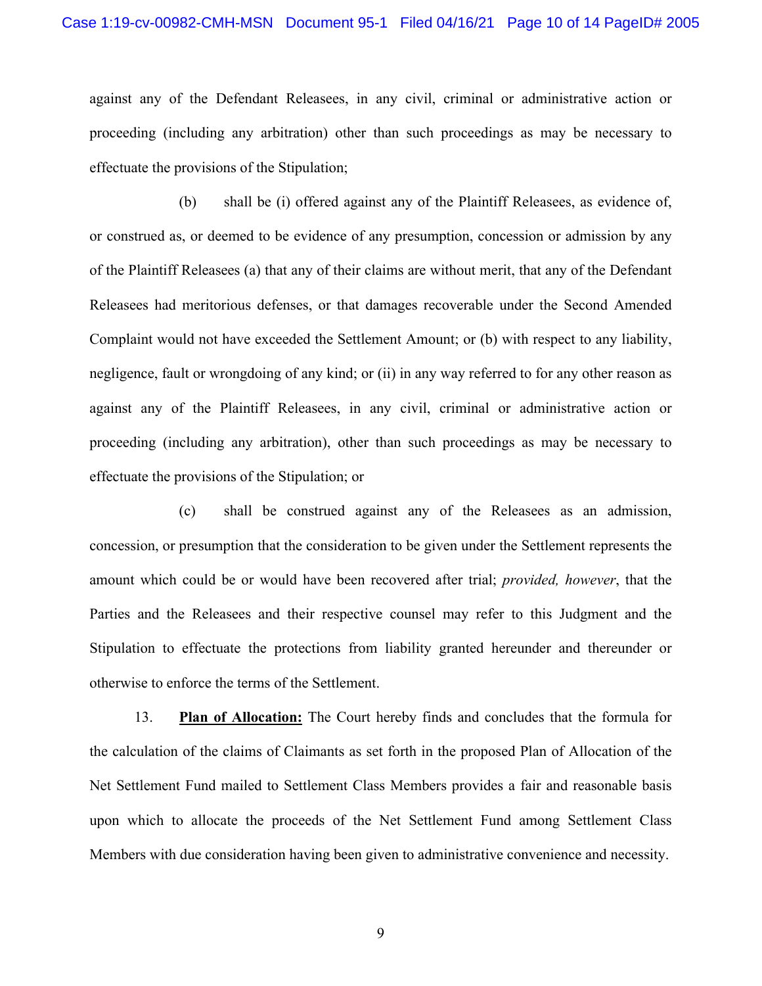against any of the Defendant Releasees, in any civil, criminal or administrative action or proceeding (including any arbitration) other than such proceedings as may be necessary to effectuate the provisions of the Stipulation;

(b) shall be (i) offered against any of the Plaintiff Releasees, as evidence of, or construed as, or deemed to be evidence of any presumption, concession or admission by any of the Plaintiff Releasees (a) that any of their claims are without merit, that any of the Defendant Releasees had meritorious defenses, or that damages recoverable under the Second Amended Complaint would not have exceeded the Settlement Amount; or (b) with respect to any liability, negligence, fault or wrongdoing of any kind; or (ii) in any way referred to for any other reason as against any of the Plaintiff Releasees, in any civil, criminal or administrative action or proceeding (including any arbitration), other than such proceedings as may be necessary to effectuate the provisions of the Stipulation; or

(c) shall be construed against any of the Releasees as an admission, concession, or presumption that the consideration to be given under the Settlement represents the amount which could be or would have been recovered after trial; *provided, however*, that the Parties and the Releasees and their respective counsel may refer to this Judgment and the Stipulation to effectuate the protections from liability granted hereunder and thereunder or otherwise to enforce the terms of the Settlement.

13. **Plan of Allocation:** The Court hereby finds and concludes that the formula for the calculation of the claims of Claimants as set forth in the proposed Plan of Allocation of the Net Settlement Fund mailed to Settlement Class Members provides a fair and reasonable basis upon which to allocate the proceeds of the Net Settlement Fund among Settlement Class Members with due consideration having been given to administrative convenience and necessity.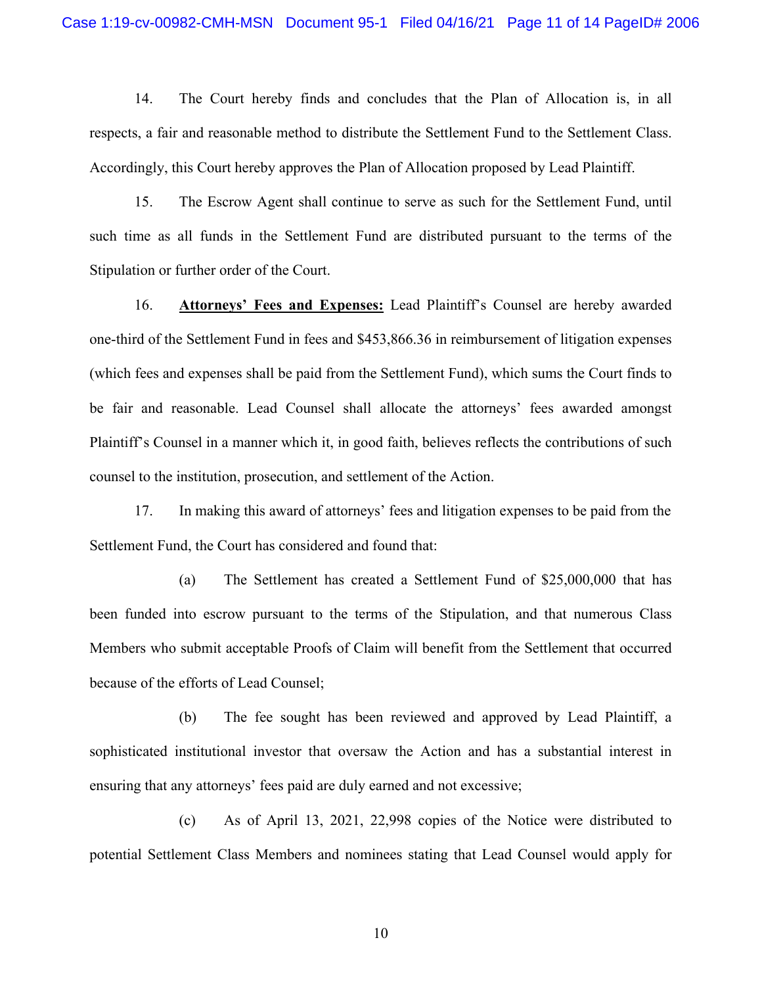14. The Court hereby finds and concludes that the Plan of Allocation is, in all respects, a fair and reasonable method to distribute the Settlement Fund to the Settlement Class. Accordingly, this Court hereby approves the Plan of Allocation proposed by Lead Plaintiff.

15. The Escrow Agent shall continue to serve as such for the Settlement Fund, until such time as all funds in the Settlement Fund are distributed pursuant to the terms of the Stipulation or further order of the Court.

16. **Attorneys' Fees and Expenses:** Lead Plaintiff's Counsel are hereby awarded one-third of the Settlement Fund in fees and \$453,866.36 in reimbursement of litigation expenses (which fees and expenses shall be paid from the Settlement Fund), which sums the Court finds to be fair and reasonable. Lead Counsel shall allocate the attorneys' fees awarded amongst Plaintiff's Counsel in a manner which it, in good faith, believes reflects the contributions of such counsel to the institution, prosecution, and settlement of the Action.

17. In making this award of attorneys' fees and litigation expenses to be paid from the Settlement Fund, the Court has considered and found that:

(a) The Settlement has created a Settlement Fund of \$25,000,000 that has been funded into escrow pursuant to the terms of the Stipulation, and that numerous Class Members who submit acceptable Proofs of Claim will benefit from the Settlement that occurred because of the efforts of Lead Counsel;

(b) The fee sought has been reviewed and approved by Lead Plaintiff, a sophisticated institutional investor that oversaw the Action and has a substantial interest in ensuring that any attorneys' fees paid are duly earned and not excessive;

(c) As of April 13, 2021, 22,998 copies of the Notice were distributed to potential Settlement Class Members and nominees stating that Lead Counsel would apply for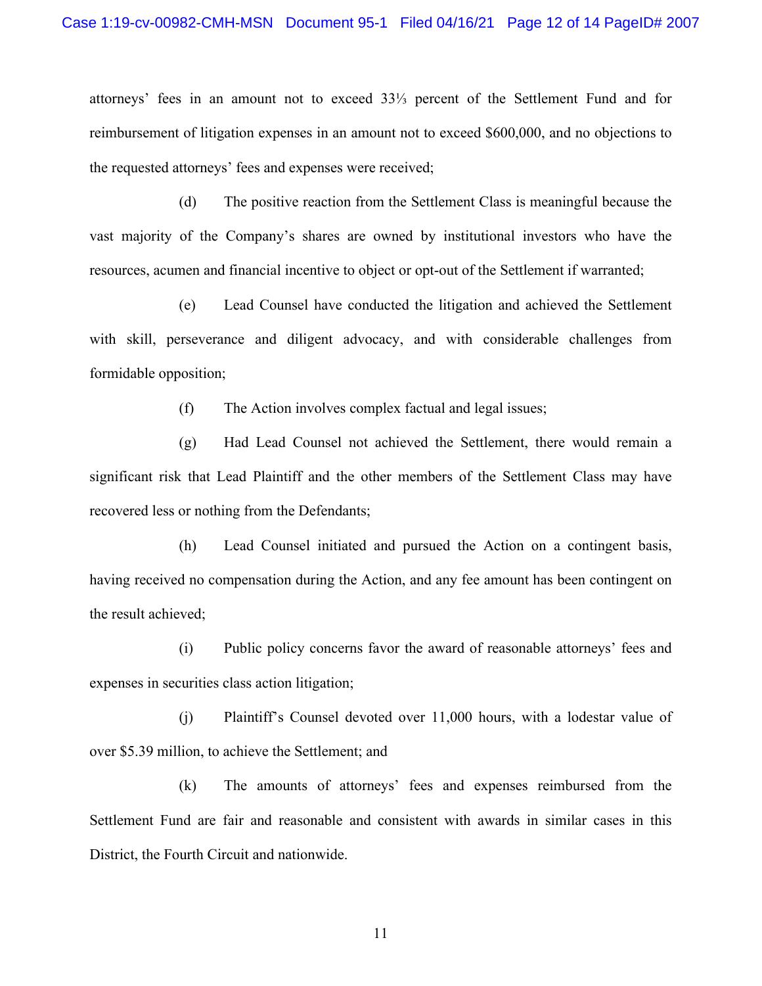attorneys' fees in an amount not to exceed 33⅓ percent of the Settlement Fund and for reimbursement of litigation expenses in an amount not to exceed \$600,000, and no objections to the requested attorneys' fees and expenses were received;

(d) The positive reaction from the Settlement Class is meaningful because the vast majority of the Company's shares are owned by institutional investors who have the resources, acumen and financial incentive to object or opt-out of the Settlement if warranted;

(e) Lead Counsel have conducted the litigation and achieved the Settlement with skill, perseverance and diligent advocacy, and with considerable challenges from formidable opposition;

(f) The Action involves complex factual and legal issues;

(g) Had Lead Counsel not achieved the Settlement, there would remain a significant risk that Lead Plaintiff and the other members of the Settlement Class may have recovered less or nothing from the Defendants;

(h) Lead Counsel initiated and pursued the Action on a contingent basis, having received no compensation during the Action, and any fee amount has been contingent on the result achieved;

(i) Public policy concerns favor the award of reasonable attorneys' fees and expenses in securities class action litigation;

(j) Plaintiff's Counsel devoted over 11,000 hours, with a lodestar value of over \$5.39 million, to achieve the Settlement; and

(k) The amounts of attorneys' fees and expenses reimbursed from the Settlement Fund are fair and reasonable and consistent with awards in similar cases in this District, the Fourth Circuit and nationwide.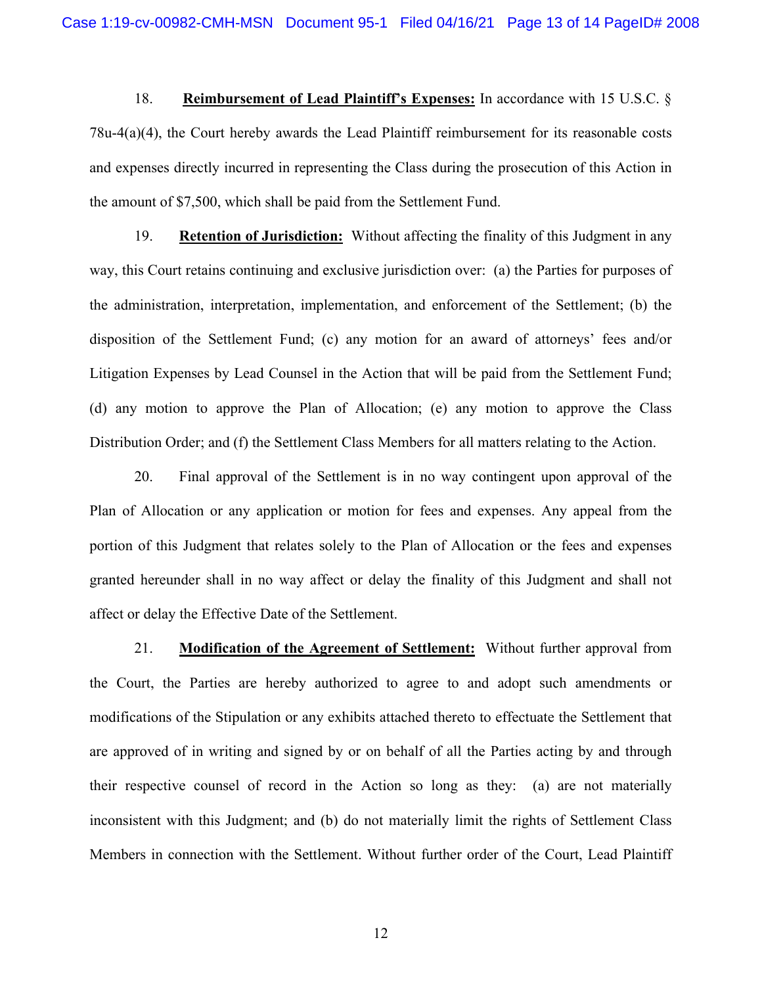18. **Reimbursement of Lead Plaintiff's Expenses:** In accordance with 15 U.S.C. § 78u-4(a)(4), the Court hereby awards the Lead Plaintiff reimbursement for its reasonable costs and expenses directly incurred in representing the Class during the prosecution of this Action in the amount of \$7,500, which shall be paid from the Settlement Fund.

19. **Retention of Jurisdiction:** Without affecting the finality of this Judgment in any way, this Court retains continuing and exclusive jurisdiction over: (a) the Parties for purposes of the administration, interpretation, implementation, and enforcement of the Settlement; (b) the disposition of the Settlement Fund; (c) any motion for an award of attorneys' fees and/or Litigation Expenses by Lead Counsel in the Action that will be paid from the Settlement Fund; (d) any motion to approve the Plan of Allocation; (e) any motion to approve the Class Distribution Order; and (f) the Settlement Class Members for all matters relating to the Action.

20. Final approval of the Settlement is in no way contingent upon approval of the Plan of Allocation or any application or motion for fees and expenses. Any appeal from the portion of this Judgment that relates solely to the Plan of Allocation or the fees and expenses granted hereunder shall in no way affect or delay the finality of this Judgment and shall not affect or delay the Effective Date of the Settlement.

21. **Modification of the Agreement of Settlement:** Without further approval from the Court, the Parties are hereby authorized to agree to and adopt such amendments or modifications of the Stipulation or any exhibits attached thereto to effectuate the Settlement that are approved of in writing and signed by or on behalf of all the Parties acting by and through their respective counsel of record in the Action so long as they: (a) are not materially inconsistent with this Judgment; and (b) do not materially limit the rights of Settlement Class Members in connection with the Settlement. Without further order of the Court, Lead Plaintiff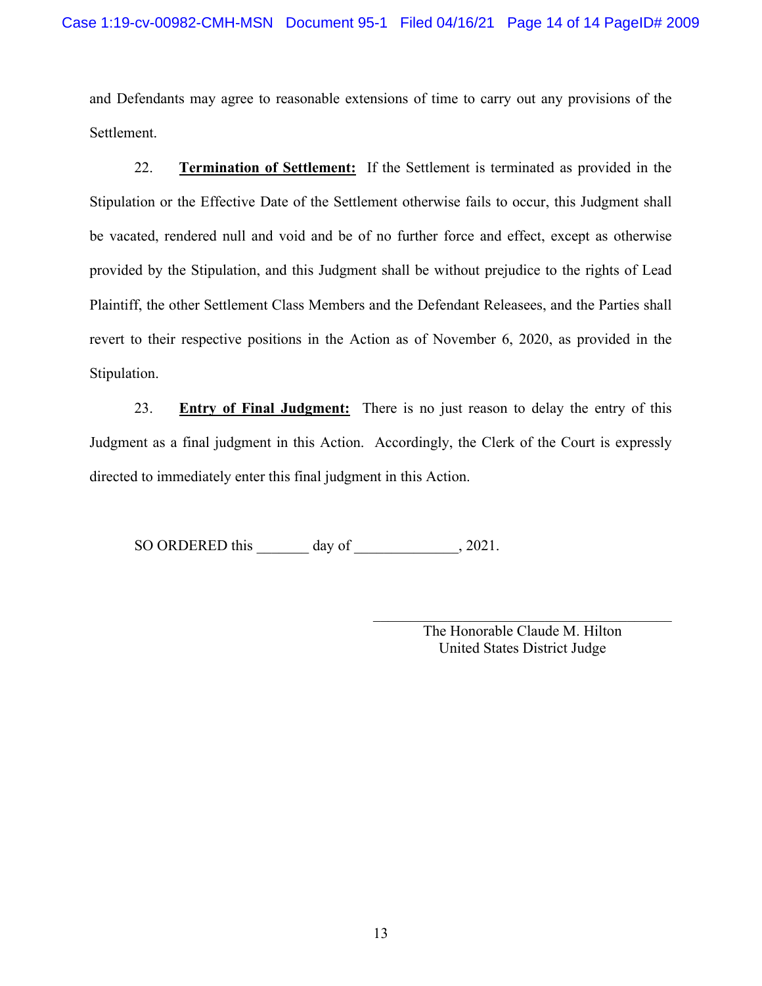and Defendants may agree to reasonable extensions of time to carry out any provisions of the Settlement.

22. **Termination of Settlement:** If the Settlement is terminated as provided in the Stipulation or the Effective Date of the Settlement otherwise fails to occur, this Judgment shall be vacated, rendered null and void and be of no further force and effect, except as otherwise provided by the Stipulation, and this Judgment shall be without prejudice to the rights of Lead Plaintiff, the other Settlement Class Members and the Defendant Releasees, and the Parties shall revert to their respective positions in the Action as of November 6, 2020, as provided in the Stipulation.

23. **Entry of Final Judgment:** There is no just reason to delay the entry of this Judgment as a final judgment in this Action. Accordingly, the Clerk of the Court is expressly directed to immediately enter this final judgment in this Action.

SO ORDERED this day of  $\qquad \qquad$ , 2021.

 $\mathcal{L}_\mathcal{L}$  , which is a set of the set of the set of the set of the set of the set of the set of the set of the set of the set of the set of the set of the set of the set of the set of the set of the set of the set of The Honorable Claude M. Hilton United States District Judge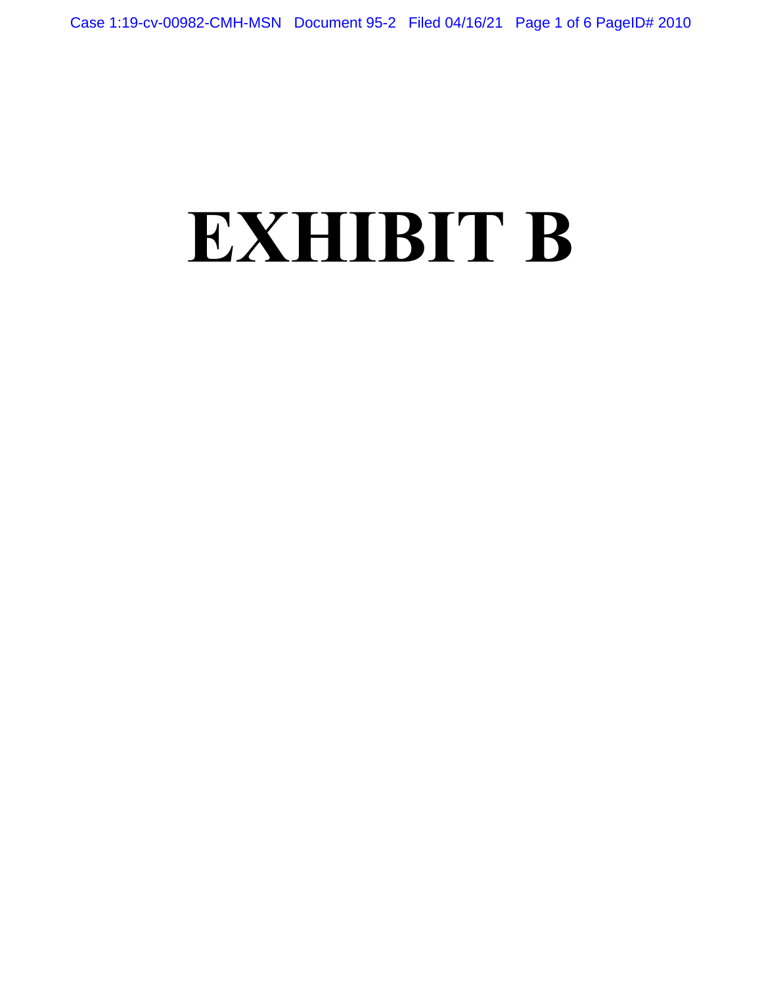# **EXHIBIT B**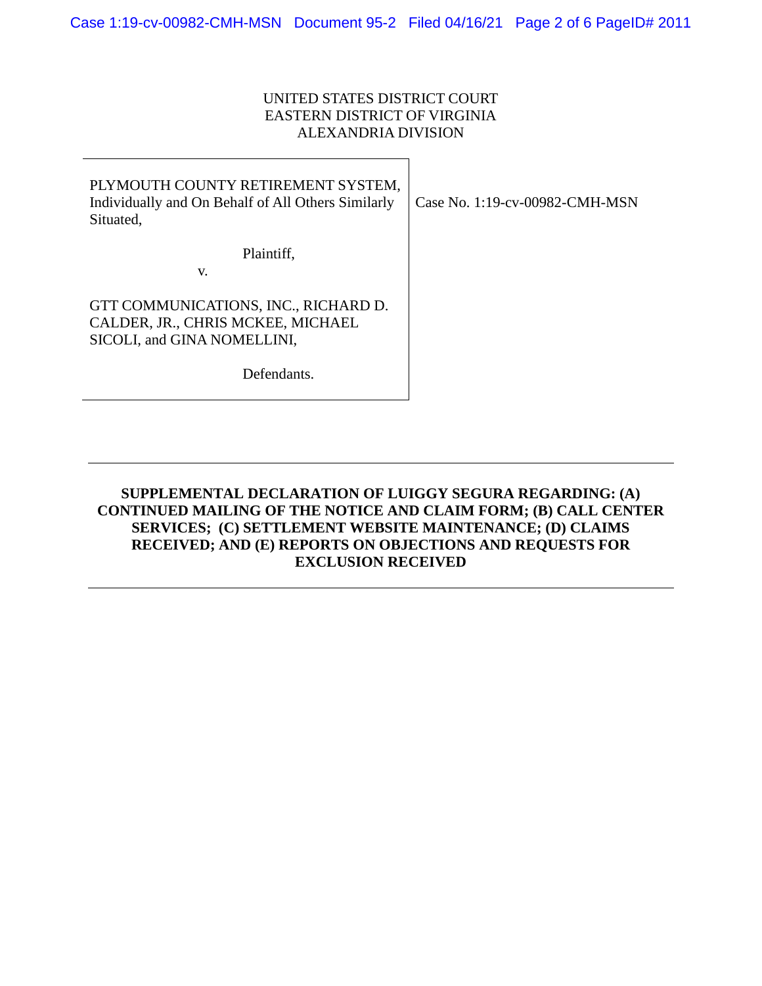# UNITED STATES DISTRICT COURT EASTERN DISTRICT OF VIRGINIA ALEXANDRIA DIVISION

| PLYMOUTH COUNTY RETIREMENT SYSTEM,<br>Individually and On Behalf of All Others Similarly<br>Situated,    | Case No. 1:19-cv-00982-CMH-MSN |
|----------------------------------------------------------------------------------------------------------|--------------------------------|
| Plaintiff,<br>V.                                                                                         |                                |
| GTT COMMUNICATIONS, INC., RICHARD D.<br>CALDER, JR., CHRIS MCKEE, MICHAEL<br>SICOLI, and GINA NOMELLINI, |                                |
| Defendants.                                                                                              |                                |

# **SUPPLEMENTAL DECLARATION OF LUIGGY SEGURA REGARDING: (A) CONTINUED MAILING OF THE NOTICE AND CLAIM FORM; (B) CALL CENTER SERVICES; (C) SETTLEMENT WEBSITE MAINTENANCE; (D) CLAIMS RECEIVED; AND (E) REPORTS ON OBJECTIONS AND REQUESTS FOR EXCLUSION RECEIVED**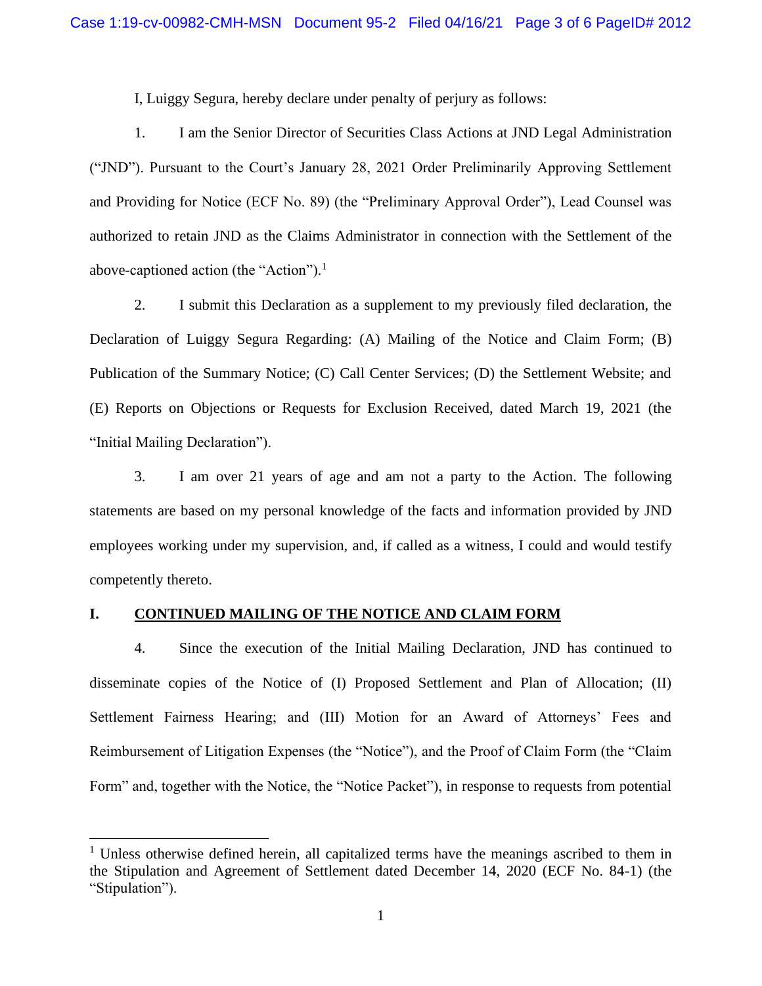I, Luiggy Segura, hereby declare under penalty of perjury as follows:

1. I am the Senior Director of Securities Class Actions at JND Legal Administration ("JND"). Pursuant to the Court's January 28, 2021 Order Preliminarily Approving Settlement and Providing for Notice (ECF No. 89) (the "Preliminary Approval Order"), Lead Counsel was authorized to retain JND as the Claims Administrator in connection with the Settlement of the above-captioned action (the "Action").<sup>1</sup>

2. I submit this Declaration as a supplement to my previously filed declaration, the Declaration of Luiggy Segura Regarding: (A) Mailing of the Notice and Claim Form; (B) Publication of the Summary Notice; (C) Call Center Services; (D) the Settlement Website; and (E) Reports on Objections or Requests for Exclusion Received, dated March 19, 2021 (the "Initial Mailing Declaration").

3. I am over 21 years of age and am not a party to the Action. The following statements are based on my personal knowledge of the facts and information provided by JND employees working under my supervision, and, if called as a witness, I could and would testify competently thereto.

### **I. CONTINUED MAILING OF THE NOTICE AND CLAIM FORM**

4. Since the execution of the Initial Mailing Declaration, JND has continued to disseminate copies of the Notice of (I) Proposed Settlement and Plan of Allocation; (II) Settlement Fairness Hearing; and (III) Motion for an Award of Attorneys' Fees and Reimbursement of Litigation Expenses (the "Notice"), and the Proof of Claim Form (the "Claim Form" and, together with the Notice, the "Notice Packet"), in response to requests from potential

<sup>&</sup>lt;sup>1</sup> Unless otherwise defined herein, all capitalized terms have the meanings ascribed to them in the Stipulation and Agreement of Settlement dated December 14, 2020 (ECF No. 84-1) (the "Stipulation").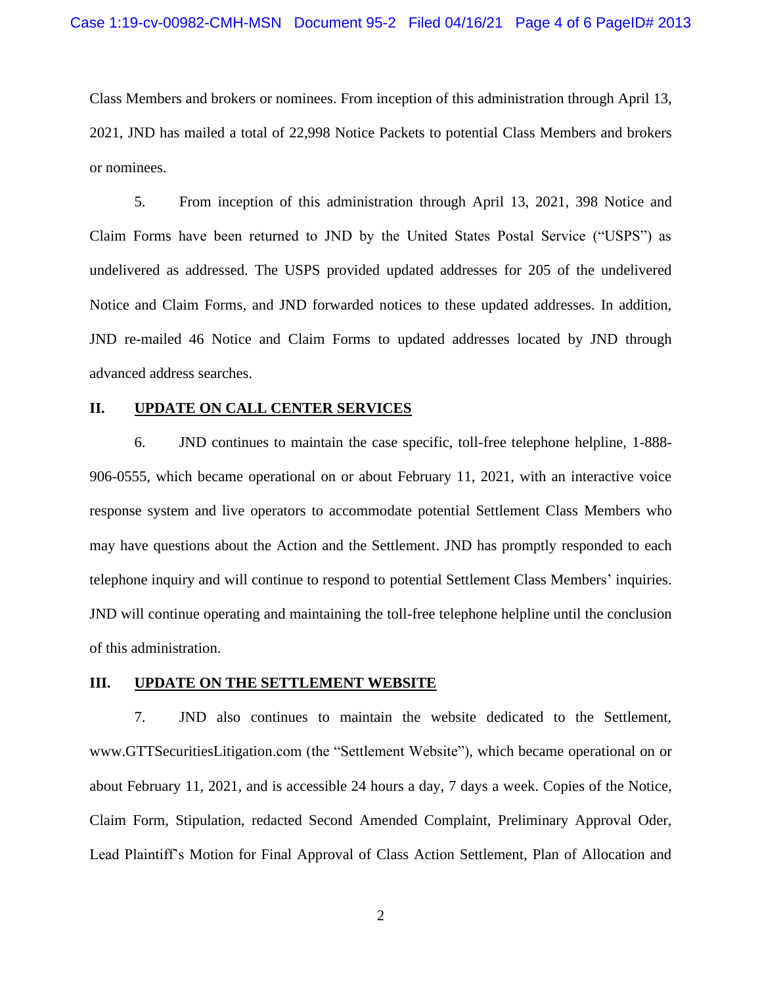Class Members and brokers or nominees. From inception of this administration through April 13, 2021, JND has mailed a total of 22,998 Notice Packets to potential Class Members and brokers or nominees.

5. From inception of this administration through April 13, 2021, 398 Notice and Claim Forms have been returned to JND by the United States Postal Service ("USPS") as undelivered as addressed. The USPS provided updated addresses for 205 of the undelivered Notice and Claim Forms, and JND forwarded notices to these updated addresses. In addition, JND re-mailed 46 Notice and Claim Forms to updated addresses located by JND through advanced address searches.

### **II. UPDATE ON CALL CENTER SERVICES**

6. JND continues to maintain the case specific, toll-free telephone helpline, 1-888- 906-0555, which became operational on or about February 11, 2021, with an interactive voice response system and live operators to accommodate potential Settlement Class Members who may have questions about the Action and the Settlement. JND has promptly responded to each telephone inquiry and will continue to respond to potential Settlement Class Members' inquiries. JND will continue operating and maintaining the toll-free telephone helpline until the conclusion of this administration.

#### **III. UPDATE ON THE SETTLEMENT WEBSITE**

7. JND also continues to maintain the website dedicated to the Settlement, www.GTTSecuritiesLitigation.com (the "Settlement Website"), which became operational on or about February 11, 2021, and is accessible 24 hours a day, 7 days a week. Copies of the Notice, Claim Form, Stipulation, redacted Second Amended Complaint, Preliminary Approval Oder, Lead Plaintiff's Motion for Final Approval of Class Action Settlement, Plan of Allocation and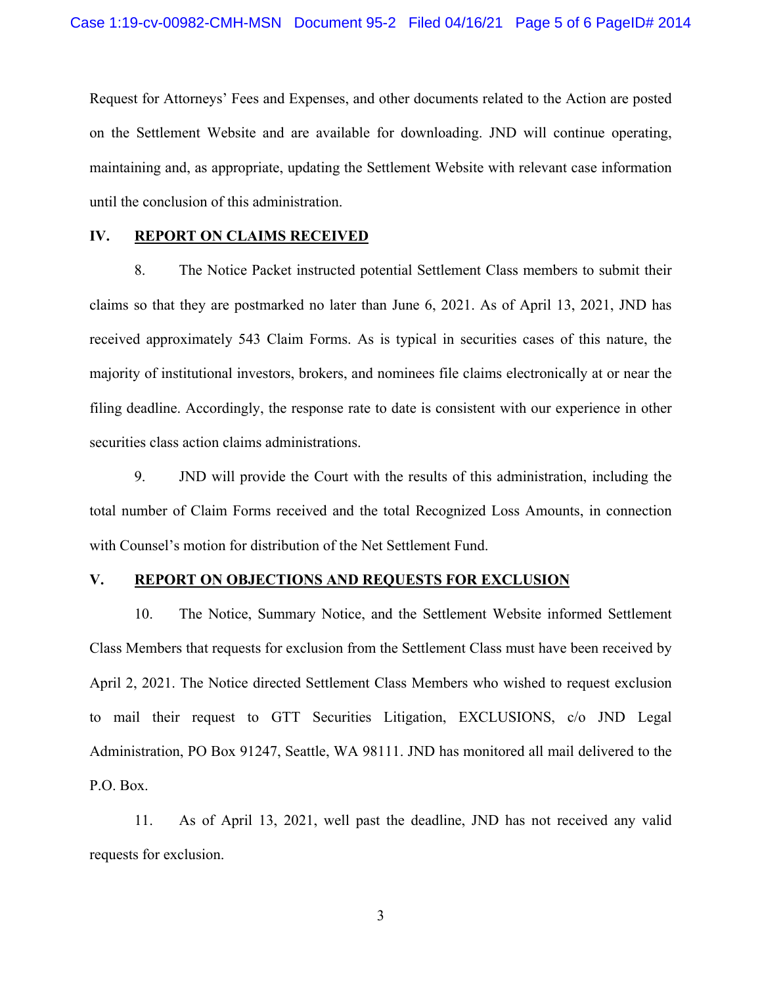Request for Attorneys' Fees and Expenses, and other documents related to the Action are posted on the Settlement Website and are available for downloading. JND will continue operating, maintaining and, as appropriate, updating the Settlement Website with relevant case information until the conclusion of this administration.

### **IV. REPORT ON CLAIMS RECEIVED**

8. The Notice Packet instructed potential Settlement Class members to submit their claims so that they are postmarked no later than June 6, 2021. As of April 13, 2021, JND has received approximately 543 Claim Forms. As is typical in securities cases of this nature, the majority of institutional investors, brokers, and nominees file claims electronically at or near the filing deadline. Accordingly, the response rate to date is consistent with our experience in other securities class action claims administrations.

9. JND will provide the Court with the results of this administration, including the total number of Claim Forms received and the total Recognized Loss Amounts, in connection with Counsel's motion for distribution of the Net Settlement Fund.

# **V. REPORT ON OBJECTIONS AND REQUESTS FOR EXCLUSION**

10. The Notice, Summary Notice, and the Settlement Website informed Settlement Class Members that requests for exclusion from the Settlement Class must have been received by April 2, 2021. The Notice directed Settlement Class Members who wished to request exclusion to mail their request to GTT Securities Litigation, EXCLUSIONS, c/o JND Legal Administration, PO Box 91247, Seattle, WA 98111. JND has monitored all mail delivered to the P.O. Box.

11. As of April 13, 2021, well past the deadline, JND has not received any valid requests for exclusion.